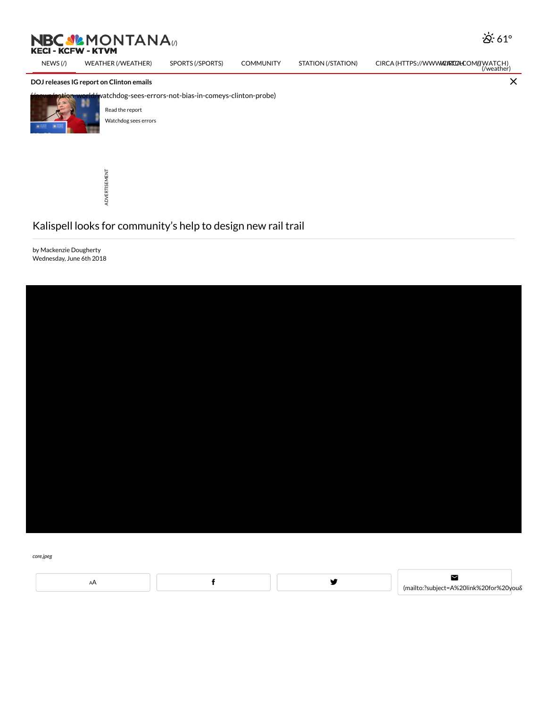## DOJ releases IG report on Clinton emails



tion-world/watchdog-sees-errors-not-bias-in-comeys-clinton-probe)



ADVERTISEMENT

## Kalispell looks for community's help to design new rail trail

by Mackenzie Dougherty Wednesday, June 6th 2018



core.jpeg

AA **f** y

 $\blacksquare$ [\(mailto:?subject=A%20link%20for%20you&](mailto:?subject=A%20link%20for%20you&body=You%20should%20read%20this!%0A%0Ahttp://nbcmontana.com/news/local/kalispell-looks-for-communitys-help-to-design-new-rail-trail)body=You%20should%20read%20this!%0A%0Ahttp://nbcmontana.com/news/local/kalispell-looks-for-communitys-help-to-design-new-rail-trail)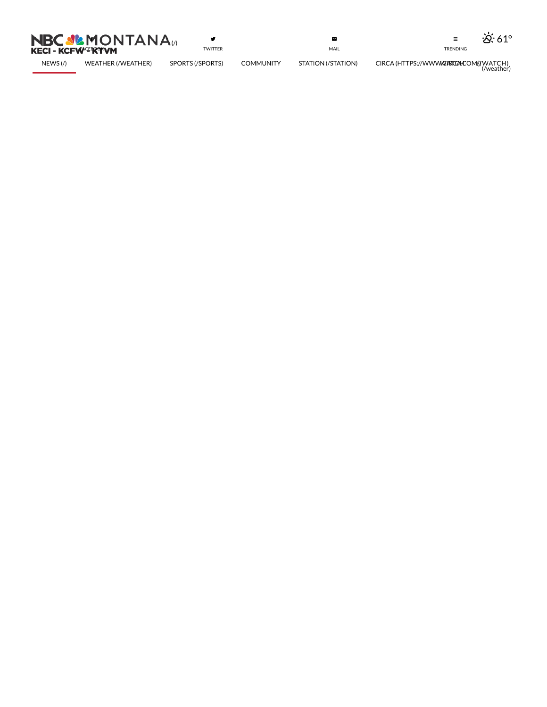

 $\mathbf{y}$ T WIT T E R

 $\blacksquare$ [MAIL](mailto:?subject=A%20link%20for%20you&body=You%20should%20read%20this!%0A%0Ahttp://nbcmontana.com/news/local/kalispell-looks-for-communitys-help-to-design-new-rail-trail)





N E [W](http://nbcmontana.com/) S (/) WE[AT](http://nbcmontana.com/weather)HER (/WEATHER

R) SPORTS (/SPORTS

[S\)](http://nbcmontana.com/sports) COMMUNITY

S [TATIO](http://nbcmontana.com/station) N (/ S TATIO

 $\text{RENDING}$ <br>  $\text{CIRCA (HTTPS://WWWW@RTCA:COM/ (WATCH)\n (Wearher))$